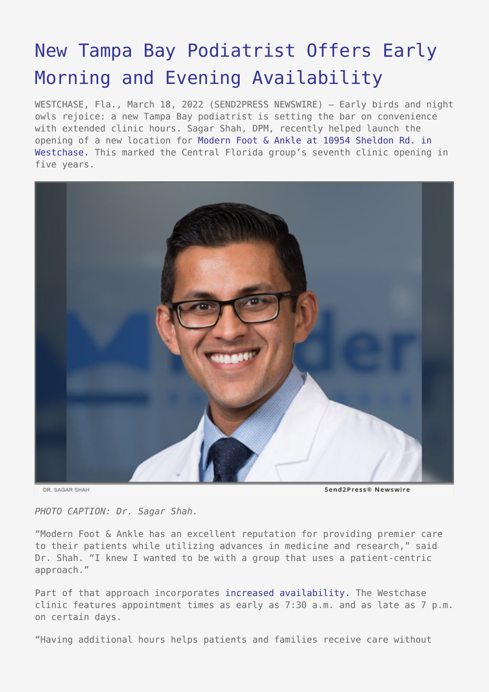## [New Tampa Bay Podiatrist Offers Early](https://www.send2press.com/wire/new-tampa-bay-podiatrist-offers-early-morning-and-evening-availability/) [Morning and Evening Availability](https://www.send2press.com/wire/new-tampa-bay-podiatrist-offers-early-morning-and-evening-availability/)

WESTCHASE, Fla., March 18, 2022 (SEND2PRESS NEWSWIRE) — Early birds and night owls rejoice: a new Tampa Bay podiatrist is setting the bar on convenience with extended clinic hours. Sagar Shah, DPM, recently helped launch the opening of a new location for [Modern Foot & Ankle at 10954 Sheldon Rd. in](https://modernfootankle.com/westchase-office/) [Westchase.](https://modernfootankle.com/westchase-office/) This marked the Central Florida group's seventh clinic opening in five years.



DR. SAGAR SHAH

Send2Press® Newswire

*PHOTO CAPTION: Dr. Sagar Shah.*

"Modern Foot & Ankle has an excellent reputation for providing premier care to their patients while utilizing advances in medicine and research," said Dr. Shah. "I knew I wanted to be with a group that uses a patient-centric approach."

Part of that approach incorporates [increased availability.](https://modernfootankle.com/book-appointment/westchase-foot-doctors/dr-sagar-shah/) The Westchase clinic features appointment times as early as 7:30 a.m. and as late as 7 p.m. on certain days.

"Having additional hours helps patients and families receive care without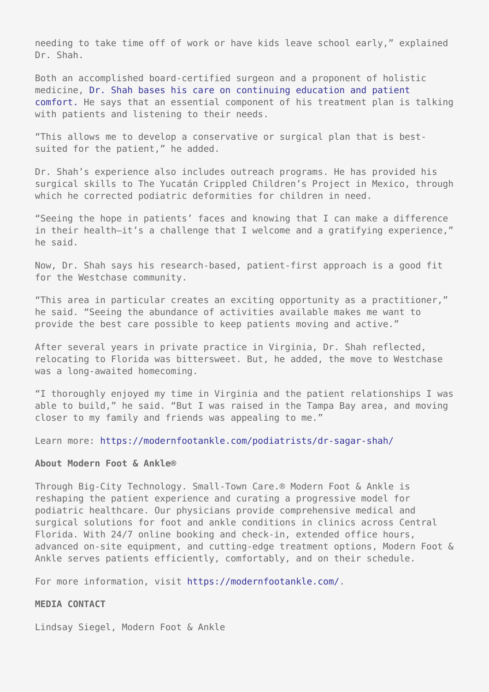needing to take time off of work or have kids leave school early," explained Dr. Shah.

Both an accomplished board-certified surgeon and a proponent of holistic medicine, [Dr. Shah bases his care on continuing education and patient](https://modernfootankle.com/dr-sagar-shah/) [comfort.](https://modernfootankle.com/dr-sagar-shah/) He says that an essential component of his treatment plan is talking with patients and listening to their needs.

"This allows me to develop a conservative or surgical plan that is bestsuited for the patient," he added.

Dr. Shah's experience also includes outreach programs. He has provided his surgical skills to The Yucatán Crippled Children's Project in Mexico, through which he corrected podiatric deformities for children in need.

"Seeing the hope in patients' faces and knowing that I can make a difference in their health—it's a challenge that I welcome and a gratifying experience," he said.

Now, Dr. Shah says his research-based, patient-first approach is a good fit for the Westchase community.

"This area in particular creates an exciting opportunity as a practitioner," he said. "Seeing the abundance of activities available makes me want to provide the best care possible to keep patients moving and active."

After several years in private practice in Virginia, Dr. Shah reflected, relocating to Florida was bittersweet. But, he added, the move to Westchase was a long-awaited homecoming.

"I thoroughly enjoyed my time in Virginia and the patient relationships I was able to build," he said. "But I was raised in the Tampa Bay area, and moving closer to my family and friends was appealing to me."

Learn more: <https://modernfootankle.com/podiatrists/dr-sagar-shah/>

## **About Modern Foot & Ankle®**

Through Big-City Technology. Small-Town Care.® Modern Foot & Ankle is reshaping the patient experience and curating a progressive model for podiatric healthcare. Our physicians provide comprehensive medical and surgical solutions for foot and ankle conditions in clinics across Central Florida. With 24/7 online booking and check-in, extended office hours, advanced on-site equipment, and cutting-edge treatment options, Modern Foot & Ankle serves patients efficiently, comfortably, and on their schedule.

For more information, visit <https://modernfootankle.com/>.

## **MEDIA CONTACT**

Lindsay Siegel, Modern Foot & Ankle